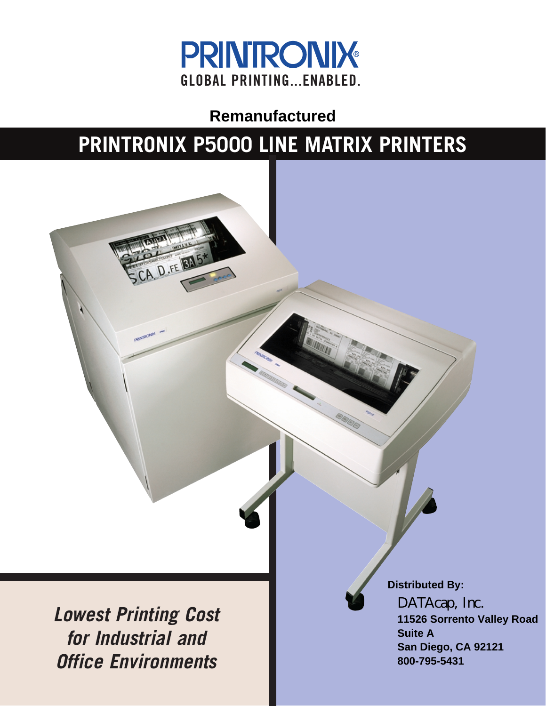

**Remanufactured**

# **PRINTRONIX P5000 LINE MATRIX PRINTERS**

**Lowest Printing Cost for Industrial and Office Environments**

A D.FE BA

**Distributed By: DATAcap, Inc. 11526 Sorrento Valley Road Suite A San Diego, CA 92121 800-795-5431**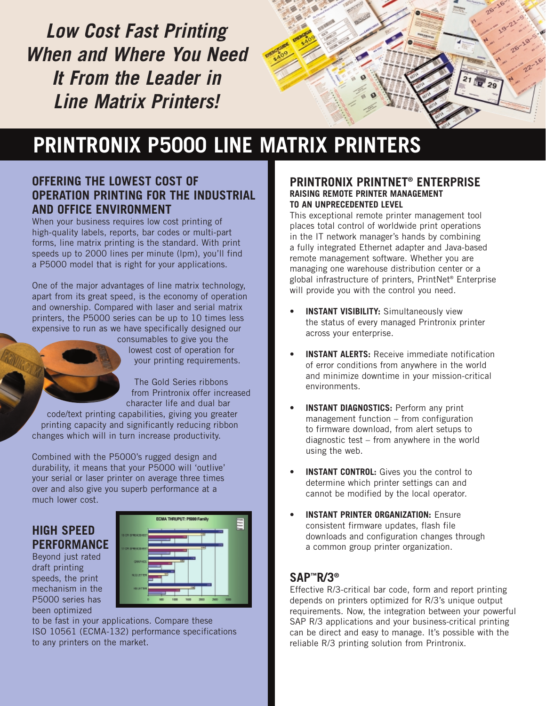**Low Cost Fast Printing When and Where You Need It From the Leader in Line Matrix Printers!**



# **PRINTRONIX P5000 LINE MATRIX PRINTERS**

### **OFFERING THE LOWEST COST OF OPERATION PRINTING FOR THE INDUSTRIAL AND OFFICE ENVIRONMENT**

When your business requires low cost printing of high-quality labels, reports, bar codes or multi-part forms, line matrix printing is the standard. With print speeds up to 2000 lines per minute (lpm), you'll find a P5000 model that is right for your applications.

One of the major advantages of line matrix technology, apart from its great speed, is the economy of operation and ownership. Compared with laser and serial matrix printers, the P5000 series can be up to 10 times less expensive to run as we have specifically designed our

consumables to give you the lowest cost of operation for your printing requirements.

The Gold Series ribbons from Printronix offer increased character life and dual bar

code/text printing capabilities, giving you greater printing capacity and significantly reducing ribbon changes which will in turn increase productivity.

Combined with the P5000's rugged design and durability, it means that your P5000 will 'outlive' your serial or laser printer on average three times over and also give you superb performance at a much lower cost.

## **HIGH SPEED PERFORMANCE**

Beyond just rated draft printing speeds, the print mechanism in the P5000 series has been optimized



to be fast in your applications. Compare these ISO 10561 (ECMA-132) performance specifications to any printers on the market.

#### **PRINTRONIX PRINTNET® ENTERPRISE RAISING REMOTE PRINTER MANAGEMENT TO AN UNPRECEDENTED LEVEL**

This exceptional remote printer management tool places total control of worldwide print operations in the IT network manager's hands by combining a fully integrated Ethernet adapter and Java-based remote management software. Whether you are managing one warehouse distribution center or a global infrastructure of printers, PrintNet® Enterprise will provide you with the control you need.

- **INSTANT VISIBILITY:** Simultaneously view the status of every managed Printronix printer across your enterprise.
- **INSTANT ALERTS:** Receive immediate notification of error conditions from anywhere in the world and minimize downtime in your mission-critical environments.
- **INSTANT DIAGNOSTICS:** Perform any print management function – from configuration to firmware download, from alert setups to diagnostic test – from anywhere in the world using the web.
- **INSTANT CONTROL:** Gives you the control to determine which printer settings can and cannot be modified by the local operator.
- **INSTANT PRINTER ORGANIZATION: Ensure** consistent firmware updates, flash file downloads and configuration changes through a common group printer organization.

## **SAP™R/3®**

Effective R/3-critical bar code, form and report printing depends on printers optimized for R/3's unique output requirements. Now, the integration between your powerful SAP R/3 applications and your business-critical printing can be direct and easy to manage. It's possible with the reliable R/3 printing solution from Printronix.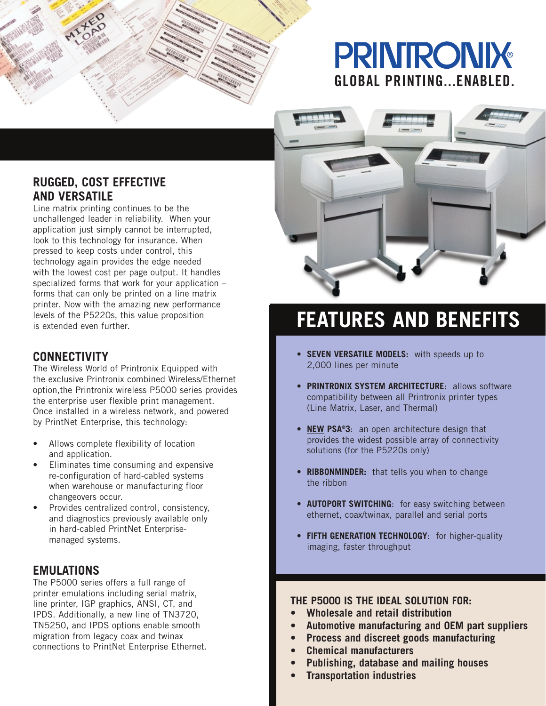## **PRINIRONIX GLOBAL PRINTING...ENABLED.**



Line matrix printing continues to be the unchallenged leader in reliability. When your application just simply cannot be interrupted, look to this technology for insurance. When pressed to keep costs under control, this technology again provides the edge needed with the lowest cost per page output. It handles specialized forms that work for your application – forms that can only be printed on a line matrix printer. Now with the amazing new performance levels of the P5220s, this value proposition is extended even further.

### **CONNECTIVITY**

The Wireless World of Printronix Equipped with the exclusive Printronix combined Wireless/Ethernet option,the Printronix wireless P5000 series provides the enterprise user flexible print management. Once installed in a wireless network, and powered by PrintNet Enterprise, this technology:

- Allows complete flexibility of location and application.
- Eliminates time consuming and expensive re-configuration of hard-cabled systems when warehouse or manufacturing floor changeovers occur.
- Provides centralized control, consistency, and diagnostics previously available only in hard-cabled PrintNet Enterprisemanaged systems.

#### **EMULATIONS**

The P5000 series offers a full range of printer emulations including serial matrix, line printer, IGP graphics, ANSI, CT, and IPDS. Additionally, a new line of TN3720, TN5250, and IPDS options enable smooth migration from legacy coax and twinax connections to PrintNet Enterprise Ethernet.



## **FEATURES AND BENEFITS**

- **SEVEN VERSATILE MODELS:** with speeds up to 2,000 lines per minute
- **PRINTRONIX SYSTEM ARCHITECTURE**: allows software compatibility between all Printronix printer types (Line Matrix, Laser, and Thermal)
- **NEW PSA®3**: an open architecture design that provides the widest possible array of connectivity solutions (for the P5220s only)
- **RIBBONMINDER:** that tells you when to change the ribbon
- **AUTOPORT SWITCHING:** for easy switching between ethernet, coax/twinax, parallel and serial ports
- **FIFTH GENERATION TECHNOLOGY**: for higher-quality imaging, faster throughput

#### **THE P5000 IS THE IDEAL SOLUTION FOR:**

- **Wholesale and retail distribution**
- **Automotive manufacturing and OEM part suppliers**
- **Process and discreet goods manufacturing**
- **Chemical manufacturers**
- **Publishing, database and mailing houses**
- **Transportation industries**